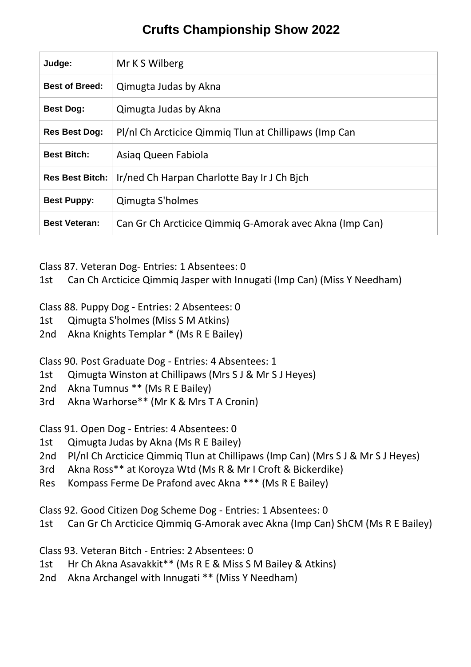# **Crufts Championship Show 2022**

| Judge:                 | Mr K S Wilberg                                          |
|------------------------|---------------------------------------------------------|
| <b>Best of Breed:</b>  | Qimugta Judas by Akna                                   |
| <b>Best Dog:</b>       | Qimugta Judas by Akna                                   |
| <b>Res Best Dog:</b>   | Pl/nl Ch Arcticice Qimmiq Tlun at Chillipaws (Imp Can   |
| <b>Best Bitch:</b>     | Asiag Queen Fabiola                                     |
| <b>Res Best Bitch:</b> | Ir/ned Ch Harpan Charlotte Bay Ir J Ch Bich             |
| <b>Best Puppy:</b>     | Qimugta S'holmes                                        |
| <b>Best Veteran:</b>   | Can Gr Ch Arcticice Qimmig G-Amorak avec Akna (Imp Can) |

Class 87. Veteran Dog- Entries: 1 Absentees: 0

1st Can Ch Arcticice Qimmiq Jasper with Innugati (Imp Can) (Miss Y Needham)

Class 88. Puppy Dog - Entries: 2 Absentees: 0

- 1st Qimugta S'holmes (Miss S M Atkins)
- 2nd Akna Knights Templar \* (Ms R E Bailey)

Class 90. Post Graduate Dog - Entries: 4 Absentees: 1

- 1st Qimugta Winston at Chillipaws (Mrs S J & Mr S J Heyes)
- 2nd Akna Tumnus \*\* (Ms R E Bailey)
- 3rd Akna Warhorse\*\* (Mr K & Mrs T A Cronin)

Class 91. Open Dog - Entries: 4 Absentees: 0

- 1st Qimugta Judas by Akna (Ms R E Bailey)
- 2nd Pl/nl Ch Arcticice Qimmiq Tlun at Chillipaws (Imp Can) (Mrs S J & Mr S J Heyes)
- 3rd Akna Ross\*\* at Koroyza Wtd (Ms R & Mr I Croft & Bickerdike)
- Res Kompass Ferme De Prafond avec Akna \*\*\* (Ms R E Bailey)

Class 92. Good Citizen Dog Scheme Dog - Entries: 1 Absentees: 0

1st Can Gr Ch Arcticice Qimmiq G-Amorak avec Akna (Imp Can) ShCM (Ms R E Bailey)

Class 93. Veteran Bitch - Entries: 2 Absentees: 0

- 1st Hr Ch Akna Asavakkit\*\* (Ms R E & Miss S M Bailey & Atkins)
- 2nd Akna Archangel with Innugati \*\* (Miss Y Needham)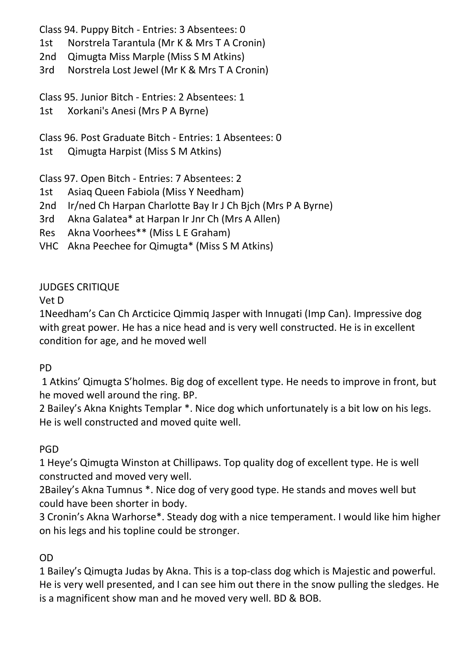Class 94. Puppy Bitch - Entries: 3 Absentees: 0

- 1st Norstrela Tarantula (Mr K & Mrs T A Cronin)
- 2nd Qimugta Miss Marple (Miss S M Atkins)
- 3rd Norstrela Lost Jewel (Mr K & Mrs T A Cronin)

Class 95. Junior Bitch - Entries: 2 Absentees: 1

1st Xorkani's Anesi (Mrs P A Byrne)

Class 96. Post Graduate Bitch - Entries: 1 Absentees: 0

1st Qimugta Harpist (Miss S M Atkins)

Class 97. Open Bitch - Entries: 7 Absentees: 2

- 1st Asiaq Queen Fabiola (Miss Y Needham)
- 2nd Ir/ned Ch Harpan Charlotte Bay Ir J Ch Bjch (Mrs P A Byrne)
- 3rd Akna Galatea\* at Harpan Ir Jnr Ch (Mrs A Allen)
- Res Akna Voorhees\*\* (Miss L E Graham)
- VHC Akna Peechee for Qimugta\* (Miss S M Atkins)

### JUDGES CRITIQUE

Vet D

1Needham's Can Ch Arcticice Qimmiq Jasper with Innugati (Imp Can). Impressive dog with great power. He has a nice head and is very well constructed. He is in excellent condition for age, and he moved well

# PD

1 Atkins' Qimugta S'holmes. Big dog of excellent type. He needs to improve in front, but he moved well around the ring. BP.

2 Bailey's Akna Knights Templar \*. Nice dog which unfortunately is a bit low on his legs. He is well constructed and moved quite well.

# PGD

1 Heye's Qimugta Winston at Chillipaws. Top quality dog of excellent type. He is well constructed and moved very well.

2Bailey's Akna Tumnus \*. Nice dog of very good type. He stands and moves well but could have been shorter in body.

3 Cronin's Akna Warhorse\*. Steady dog with a nice temperament. I would like him higher on his legs and his topline could be stronger.

# OD

1 Bailey's Qimugta Judas by Akna. This is a top-class dog which is Majestic and powerful. He is very well presented, and I can see him out there in the snow pulling the sledges. He is a magnificent show man and he moved very well. BD & BOB.